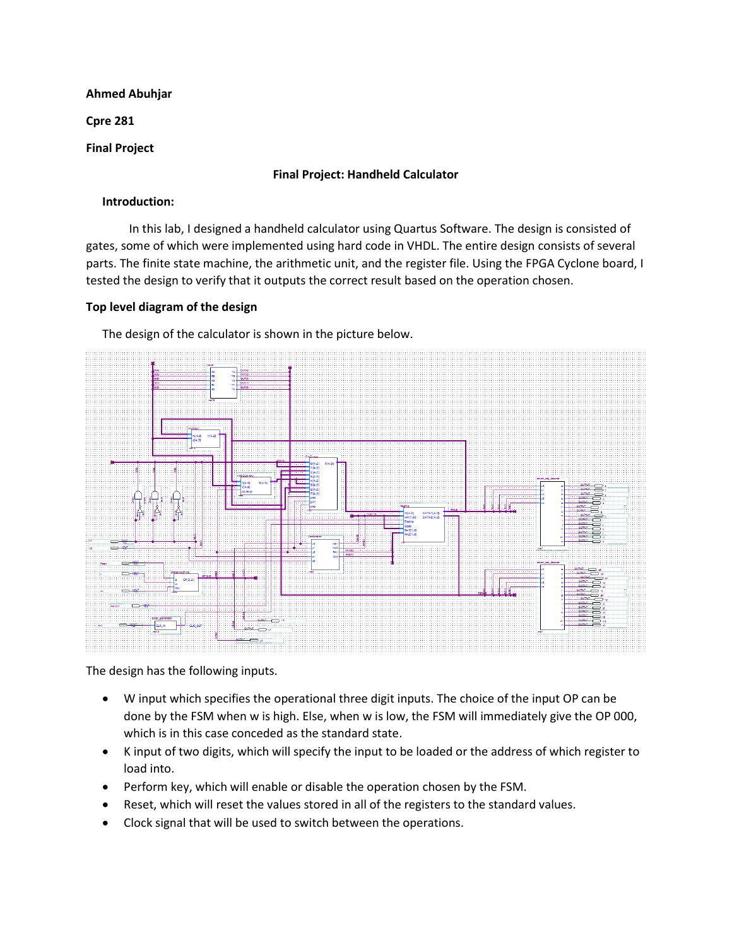# **Ahmed Abuhjar**

**Cpre 281** 

# **Final Project**

# **Final Project: Handheld Calculator**

### **Introduction:**

In this lab, I designed a handheld calculator using Quartus Software. The design is consisted of gates, some of which were implemented using hard code in VHDL. The entire design consists of several parts. The finite state machine, the arithmetic unit, and the register file. Using the FPGA Cyclone board, I tested the design to verify that it outputs the correct result based on the operation chosen.

### **Top level diagram of the design**

The design of the calculator is shown in the picture below.



The design has the following inputs.

- W input which specifies the operational three digit inputs. The choice of the input OP can be done by the FSM when w is high. Else, when w is low, the FSM will immediately give the OP 000, which is in this case conceded as the standard state.
- K input of two digits, which will specify the input to be loaded or the address of which register to load into.
- Perform key, which will enable or disable the operation chosen by the FSM.
- Reset, which will reset the values stored in all of the registers to the standard values.
- Clock signal that will be used to switch between the operations.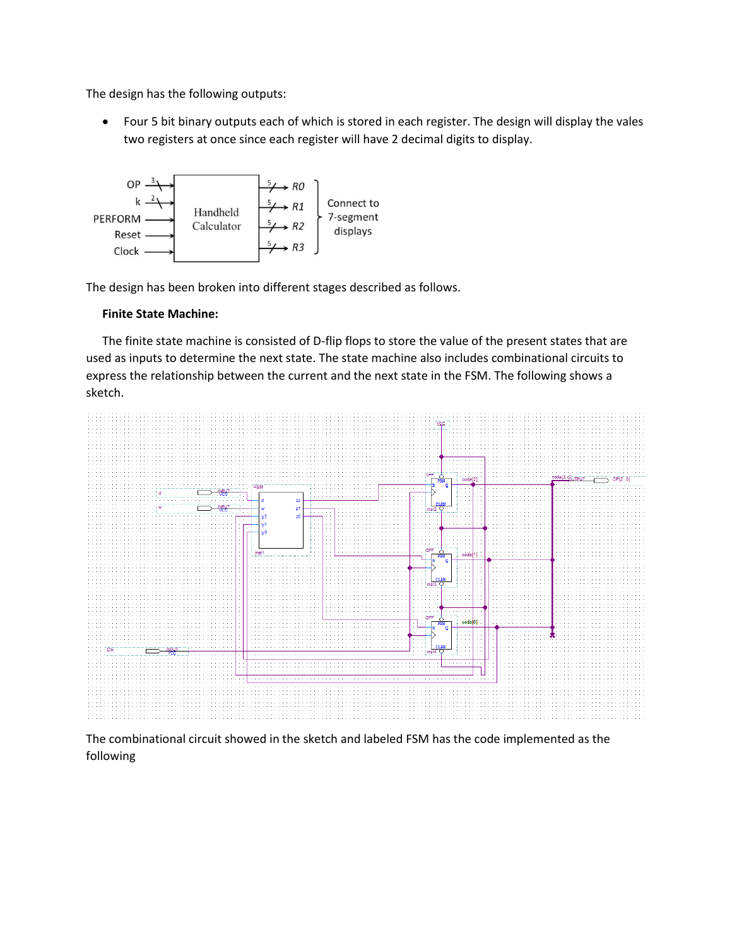The design has the following outputs:

 Four 5 bit binary outputs each of which is stored in each register. The design will display the vales two registers at once since each register will have 2 decimal digits to display.



The design has been broken into different stages described as follows.

### **Finite State Machine:**

The finite state machine is consisted of D-flip flops to store the value of the present states that are used as inputs to determine the next state. The state machine also includes combinational circuits to express the relationship between the current and the next state in the FSM. The following shows a sketch.



The combinational circuit showed in the sketch and labeled FSM has the code implemented as the following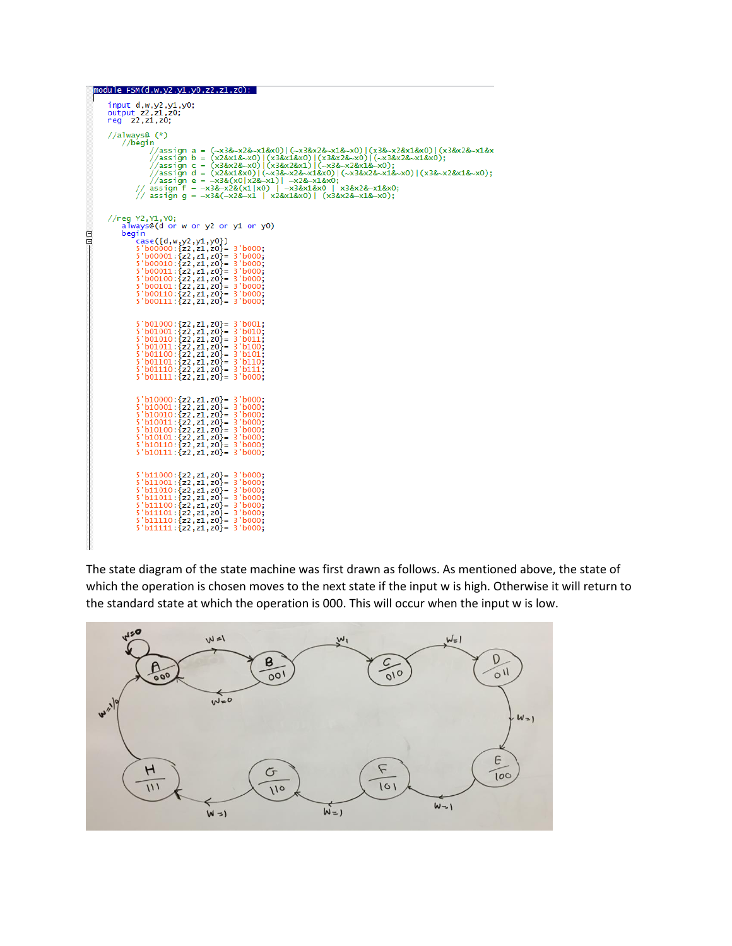|        | module FSM(d,w,y2,y1,y0,z2,z1,z0);                                                                                                                                                                                                                                                                                                                                                                                                                                                                                                            |  |  |
|--------|-----------------------------------------------------------------------------------------------------------------------------------------------------------------------------------------------------------------------------------------------------------------------------------------------------------------------------------------------------------------------------------------------------------------------------------------------------------------------------------------------------------------------------------------------|--|--|
|        | $input$ $d, w, y2, y1, y0;$<br>output z2, z1, z0;<br>req $z2, z1, z0$ ;                                                                                                                                                                                                                                                                                                                                                                                                                                                                       |  |  |
|        | //always@ $(*)$<br>//begin<br>//assign a = (~x3&~x2&~x1&x0) (~x3&x2&~x1&~x0) (x3&~x2&x1&x0) (x3&x2&~x1&x<br>//assign b = (x2&x1&~x0) (x3&x1&x0) (x3&x2&~x0) (~x3&x2&~x1&x0);<br>//assign c = (x3&x2&~x0) (x3&x2&x1) (~x3&~x2&x1&~x0);<br>//assign d = (x2&x1&x0) (~x3&~x2&~x1&x0) (~x3&x2&~x1&~x0) (x3&~x2&x1&~x0);<br>//assign e = $\sim$ x3&(x0 x2& $\sim$ x1)  $\sim$ x2& $\sim$ x1&x0<br>// assign f = $\sim$ x3& $\sim$ x2&(x1 x0)   $\sim$ x3&x1&x0   x3&x2& $\sim$ x1&x0<br>// assign $q = -x3&(-x2&-x1   x2&x1&0)   (x3&x2&-x1&-x0);$ |  |  |
| Θ<br>Θ | //reg Y2,Y1,Y0;<br>always@(d or w or y2 or y1 or y0)<br>begin<br>$case({d,w,y2,y1,y0})$<br>$5'$ b00000: {z2,z1,z0} = $3'$ b000;<br>$5'$ b00001: {z2, z1, z0} = 3' b000;<br>$5'$ b00010: $\{z2, z1, z0\}$ = 3 $\cdot$ b000;<br>$5'$ b00011 : {z2, z1, z0} = 3' b000;<br>$5'$ b00100: $\{z2, z1, z0\}$ = 3'b000;<br>$5'$ b00101 : {z2, z1, z0} = 3' b000;<br>$5'$ b00110: $\{z2, z1, z0\}$ = 3'b000;<br>$5'$ b00111: $\{z2, z1, z0\}$ = 3'b000;                                                                                                 |  |  |
|        | $5'$ b01000: $\{z2, z1, z0\}$ = 3'b001;<br>$5'$ b01001: {z2, z1, z0} = 3 $b$ 010;<br>$5'$ b01010: {z2, z1, z0} = $3'$ b011;<br>$5'$ b01011: $\{z2, z1, z0\} = 3'$ b100;<br>$5'$ b01100: $\{z2, z1, z0\}$ = 3'b101;<br>$5'$ b01101: $\{z2, z1, z0\}$ = 3'b110;<br>$5'$ b01110: $\{z2, z1, z0\} = 3'$ b111;<br>$5'$ b01111: $\{z2, z1, z0\} = 3'$ b000;                                                                                                                                                                                         |  |  |
|        | $5'$ b10000: $\{z2, z1, z0\}$ = 3'b000;<br>$5'$ b10001: $\{z2, z1, z0\}$ = 3'b000;<br>$5'$ b10010: $\{z2, z1, z0\}$ = 3'b000;<br>$5'$ b10011: $\{z2, z1, z0\}$ = 3'b000;<br>$5'$ b10100: $\{z2, z1, z0\} = 3'$ b000;<br>$5'$ b10101: $\{z2, z1, z0\} = 3'$ b000;<br>$5'$ b10110: {z2, z1, z0} = 3'b000;<br>$5'$ b10111: $\{z2, z1, z0\} = 3'$ b000:                                                                                                                                                                                           |  |  |
|        | $5'$ b11000: $\{z2, z1, z0\}$ = 3'b000;<br>$5'$ b11001: $\{z2, z1, z0\} = 3'$ b000;<br>$5'$ b11010: {z2,z1,z0}= 3'b000;<br>$5'$ b11011: {z2, z1, z0} = $3'$ b000;<br>$5'$ b11100: $\{z2, z1, z0\} = 3'$ b000;<br>$5'$ b11101: $\{z2, z1, z0\}$ = 3'b000;<br>$5'$ b11110: $\{z2, z1, z0\} = 3'$ b000;<br>$5'$ b11111: $\{z2, z1, z0\} = 3'$ b000;                                                                                                                                                                                              |  |  |

The state diagram of the state machine was first drawn as follows. As mentioned above, the state of which the operation is chosen moves to the next state if the input w is high. Otherwise it will return to the standard state at which the operation is 000. This will occur when the input w is low.

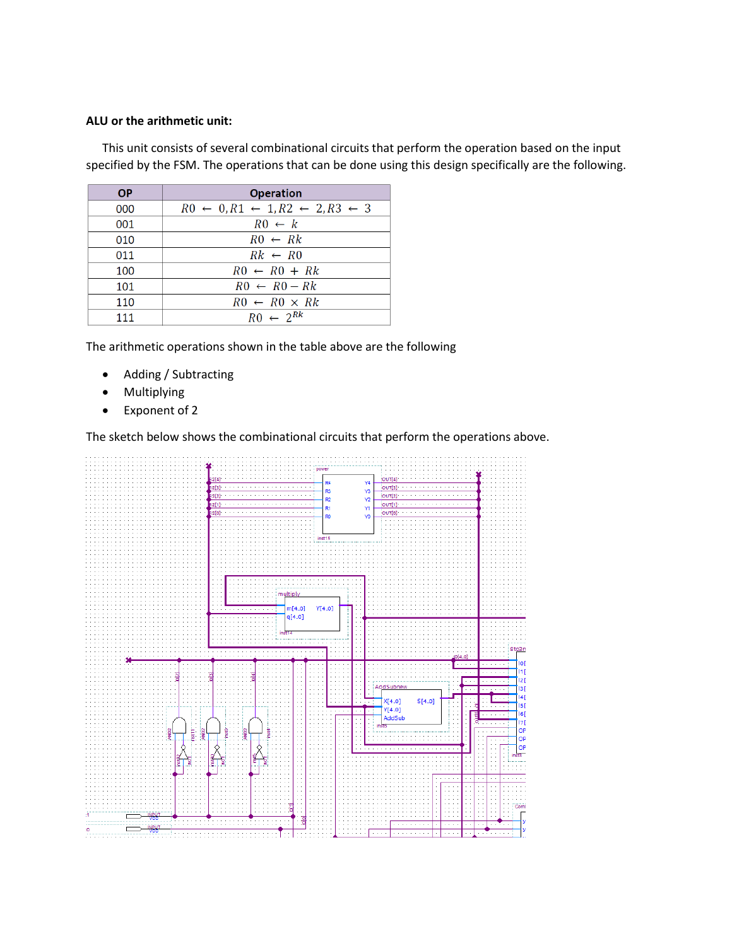# **ALU or the arithmetic unit:**

This unit consists of several combinational circuits that perform the operation based on the input specified by the FSM. The operations that can be done using this design specifically are the following.

| <b>OP</b> | <b>Operation</b>                                                     |
|-----------|----------------------------------------------------------------------|
| 000       | $R0 \leftarrow 0, R1 \leftarrow 1, R2 \leftarrow 2, R3 \leftarrow 3$ |
| 001       | $R0 \leftarrow k$                                                    |
| 010       | $RO \leftarrow Rk$                                                   |
| 011       | $Rk \leftarrow R0$                                                   |
| 100       | $RO \leftarrow RO + Rk$                                              |
| 101       | $RO \leftarrow RO - Rk$                                              |
| 110       | $RO \leftarrow RO \times Rk$                                         |
| 111       | $R0 \leftarrow 2^{Rk}$                                               |

The arithmetic operations shown in the table above are the following

- Adding / Subtracting
- Multiplying
- Exponent of 2

The sketch below shows the combinational circuits that perform the operations above.

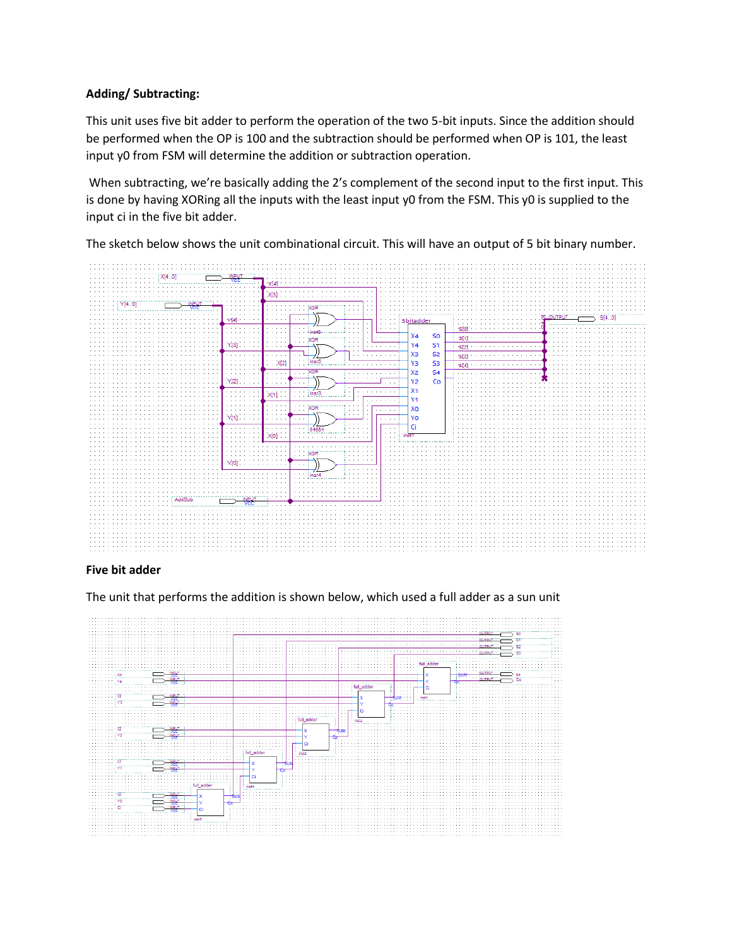# **Adding/ Subtracting:**

This unit uses five bit adder to perform the operation of the two 5-bit inputs. Since the addition should be performed when the OP is 100 and the subtraction should be performed when OP is 101, the least input y0 from FSM will determine the addition or subtraction operation.

When subtracting, we're basically adding the 2's complement of the second input to the first input. This is done by having XORing all the inputs with the least input y0 from the FSM. This y0 is supplied to the input ci in the five bit adder.

The sketch below shows the unit combinational circuit. This will have an output of 5 bit binary number.



### **Five bit adder**

The unit that performs the addition is shown below, which used a full adder as a sun unit

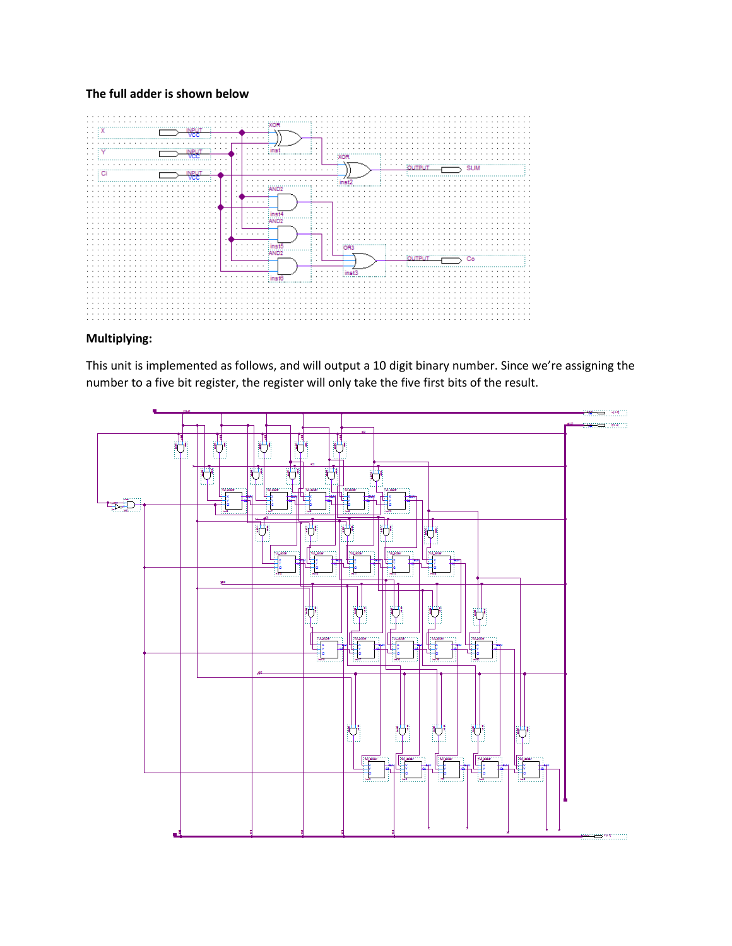# **The full adder is shown below**



# **Multiplying:**

This unit is implemented as follows, and will output a 10 digit binary number. Since we're assigning the number to a five bit register, the register will only take the five first bits of the result.

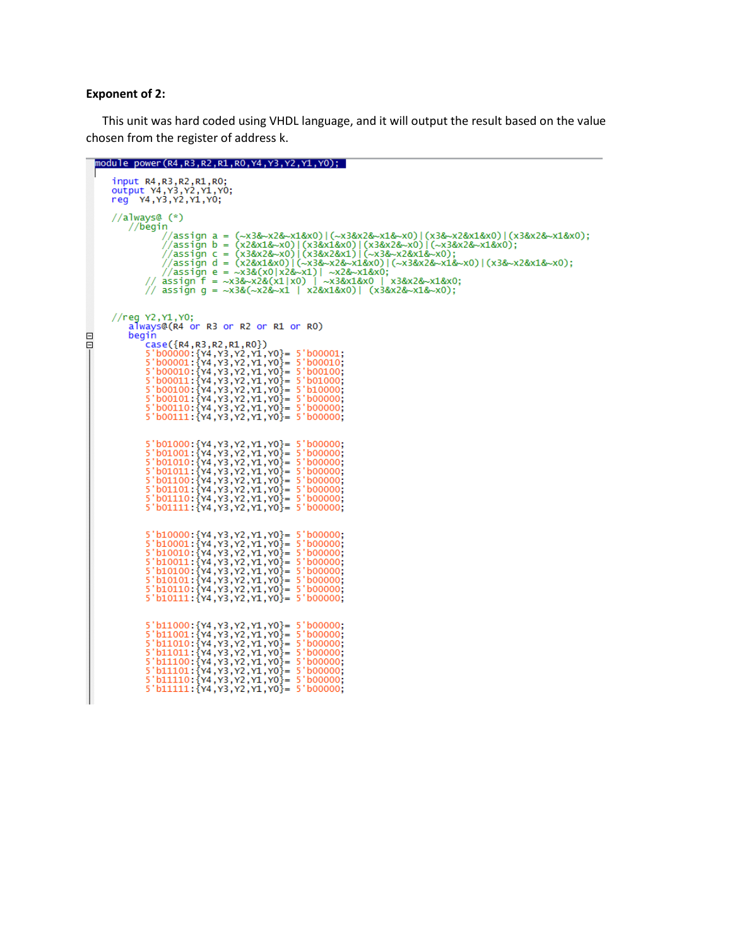#### **Exponent of 2:**

This unit was hard coded using VHDL language, and it will output the result based on the value chosen from the register of address k.

```
module power(R4,R3,R2,R1,R0,Y4,Y3,Y2,Y1,Y0);
               input R4, R3, R2, R1, R0;<br>output Y4, Y3, Y2, Y1, Y0;<br>reg Y4, Y3, Y2, Y1, Y0;
                //always@ (*)
                           //begin
                                    991 //assign a = (~x3&~x2&~x1&x0)|(~x3&x2&~x1&~x0)|(x3&~x2&x1&x0)|(x3&x2&~x1&x0);<br>//assign b = (x2&x1&~x0)|(x3&x1&x0)|(x3&x2&~x0)|(~x3&x2&~x1&x0);<br>//assign c = (x3&x2&-x0)|(x3&x2&x1)|(~x3&~x2&x1&~x0);<br>//assign d = (x2&x1&x
                //reg Y2, Y1, Y0;
                           aIways@(R4 or R3 or R2 or R1 or R0)
                          begin
\Boxgin<br>
Signal (R4, R3, R2, R1, R0})<br>
S'b00000: {Y4, Y3, Y2, Y1, Y0}= 5'b00001;<br>
5'b00001: {Y4, Y3, Y2, Y1, Y0}= 5'b00010;<br>
5'b00010: {Y4, Y3, Y2, Y1, Y0}= 5'b00100;<br>
5'b00101: {Y4, Y3, Y2, Y1, Y0}= 5'b01000;<br>
5'b00100: {Y4,
日
                                    5'b01000:{Y4, Y3, Y2, Y1, Y0}= 5'b00000;<br>5'b01001:{Y4, Y3, Y2, Y1, Y0}= 5'b00000;<br>5'b01010:{Y4, Y3, Y2, Y1, Y0}= 5'b00000;<br>5'b01011:{Y4, Y3, Y2, Y1, Y0}= 5'b00000;<br>5'b01101:{Y4, Y3, Y2, Y1, Y0}= 5'b00000;<br>5'b01101:{Y4, Y3
                                    5'b10000: {Y4, Y3, Y2, Y1, Y0} = 5'b00000;<br>5'b10001: {Y4, Y3, Y2, Y1, Y0} = 5'b00000;<br>5'b10010: {Y4, Y3, Y2, Y1, Y0} = 5'b00000;<br>5'b10011: {Y4, Y3, Y2, Y1, Y0} = 5'b00000;<br>5'b10100: {Y4, Y3, Y2, Y1, Y0} = 5'b00000;<br>5'b10101: {Y4, Y5'b10111:{Y4, Y3, Y2, Y1, Y0}= 5'b00000;
                                    5'b11000:{Y4, Y3, Y2, Y1, Y0}= 5'b00000;<br>5'b11001:{Y4, Y3, Y2, Y1, Y0}= 5'b00000;<br>5'b11010:{Y4, Y3, Y2, Y1, Y0}= 5'b00000;<br>5'b11011:{Y4, Y3, Y2, Y1, Y0}= 5'b00000;<br>5'b1101:{Y4, Y3, Y2, Y1, Y0}= 5'b00000;<br>5'b11101:{Y4, Y3,
```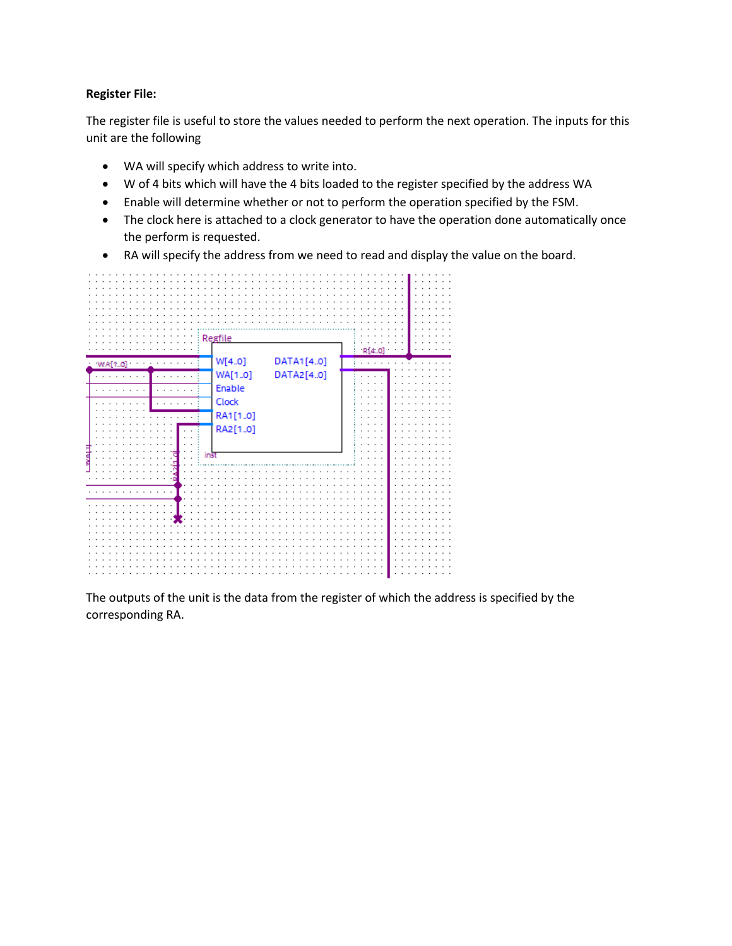# **Register File:**

The register file is useful to store the values needed to perform the next operation. The inputs for this unit are the following

- WA will specify which address to write into.
- W of 4 bits which will have the 4 bits loaded to the register specified by the address WA
- Enable will determine whether or not to perform the operation specified by the FSM.
- The clock here is attached to a clock generator to have the operation done automatically once the perform is requested.
- RA will specify the address from we need to read and display the value on the board.



The outputs of the unit is the data from the register of which the address is specified by the corresponding RA.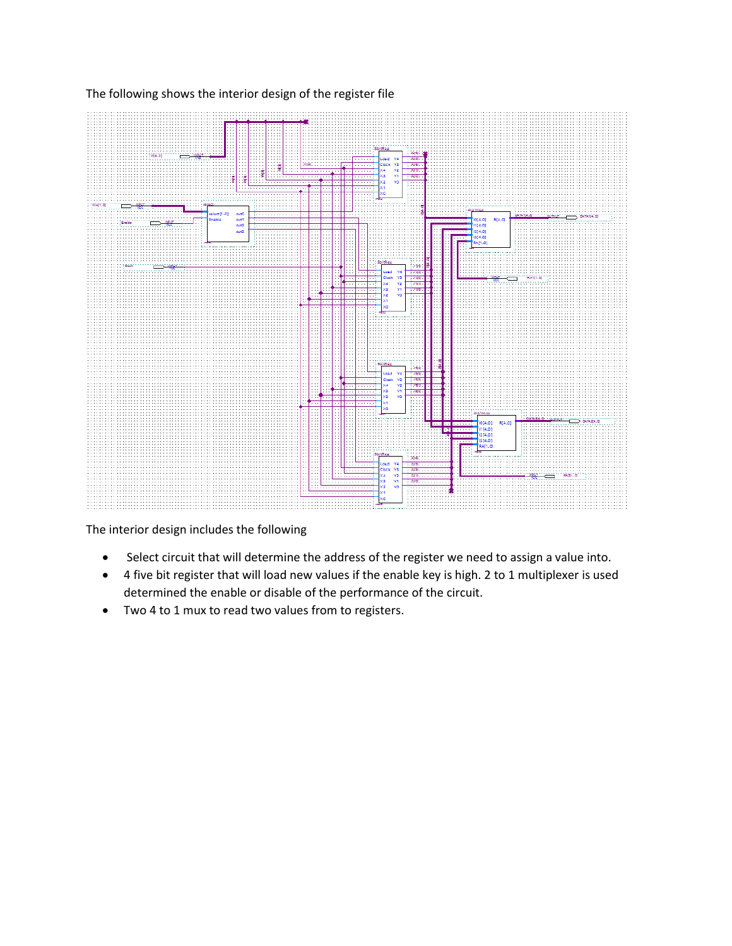

The following shows the interior design of the register file

The interior design includes the following

- Select circuit that will determine the address of the register we need to assign a value into.
- 4 five bit register that will load new values if the enable key is high. 2 to 1 multiplexer is used determined the enable or disable of the performance of the circuit.
- Two 4 to 1 mux to read two values from to registers.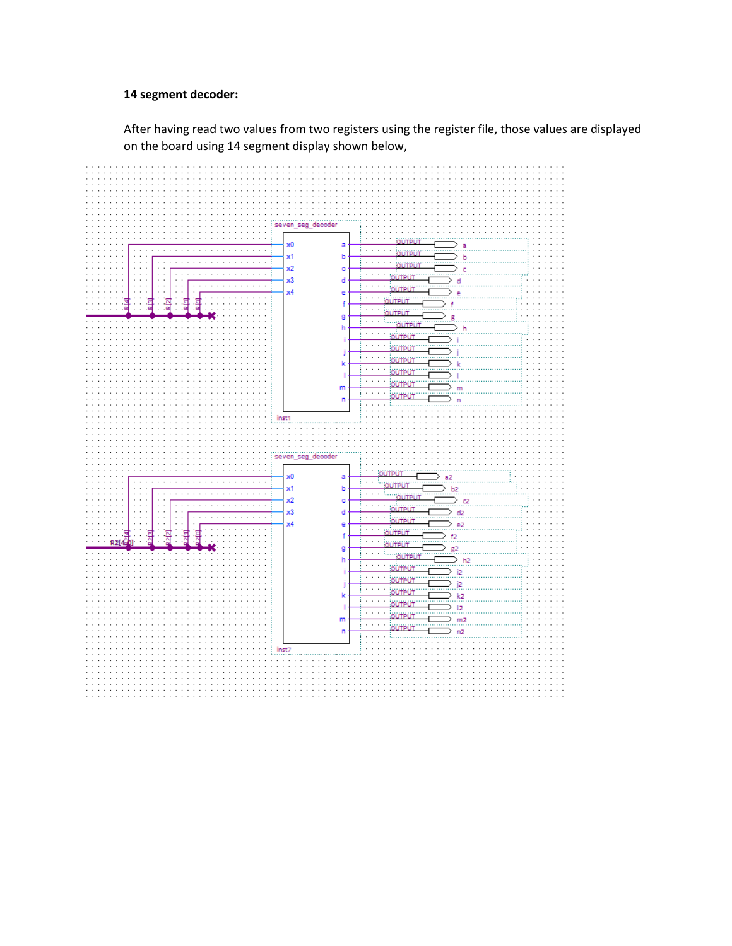### **14 segment decoder:**

After having read two values from two registers using the register file, those values are displayed on the board using 14 segment display shown below,